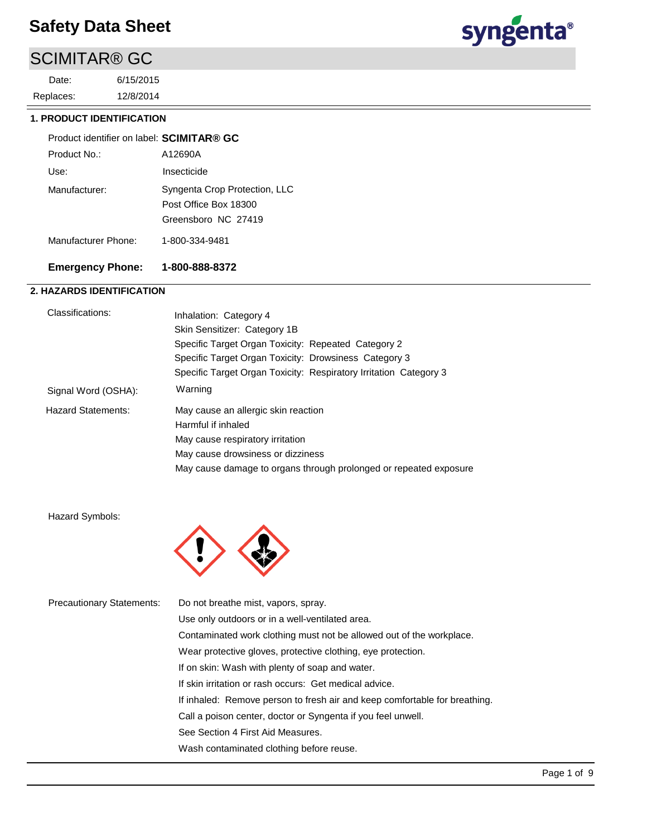## SCIMITAR® GC

12/8/2014 6/15/2015 Replaces: Date:



#### **1. PRODUCT IDENTIFICATION**

| Product identifier on label: SCIMITAR® GC |                                                                               |
|-------------------------------------------|-------------------------------------------------------------------------------|
| Product No.:                              | A12690A                                                                       |
| Use:                                      | Insecticide                                                                   |
| Manufacturer:                             | Syngenta Crop Protection, LLC<br>Post Office Box 18300<br>Greensboro NC 27419 |
| Manufacturer Phone:                       | 1-800-334-9481                                                                |

#### **Emergency Phone: 1-800-888-8372**

#### **2. HAZARDS IDENTIFICATION**

| Classifications:          | Inhalation: Category 4                                            |
|---------------------------|-------------------------------------------------------------------|
|                           | Skin Sensitizer: Category 1B                                      |
|                           | Specific Target Organ Toxicity: Repeated Category 2               |
|                           | Specific Target Organ Toxicity: Drowsiness Category 3             |
|                           | Specific Target Organ Toxicity: Respiratory Irritation Category 3 |
| Signal Word (OSHA):       | Warning                                                           |
| <b>Hazard Statements:</b> | May cause an allergic skin reaction                               |
|                           | Harmful if inhaled                                                |
|                           | May cause respiratory irritation                                  |
|                           | May cause drowsiness or dizziness                                 |
|                           | May cause damage to organs through prolonged or repeated exposure |

Hazard Symbols:



| <b>Precautionary Statements:</b> | Do not breathe mist, vapors, spray.                                        |
|----------------------------------|----------------------------------------------------------------------------|
|                                  | Use only outdoors or in a well-ventilated area.                            |
|                                  | Contaminated work clothing must not be allowed out of the workplace.       |
|                                  | Wear protective gloves, protective clothing, eye protection.               |
|                                  | If on skin: Wash with plenty of soap and water.                            |
|                                  | If skin irritation or rash occurs: Get medical advice.                     |
|                                  | If inhaled: Remove person to fresh air and keep comfortable for breathing. |
|                                  | Call a poison center, doctor or Syngenta if you feel unwell.               |
|                                  | See Section 4 First Aid Measures.                                          |
|                                  | Wash contaminated clothing before reuse.                                   |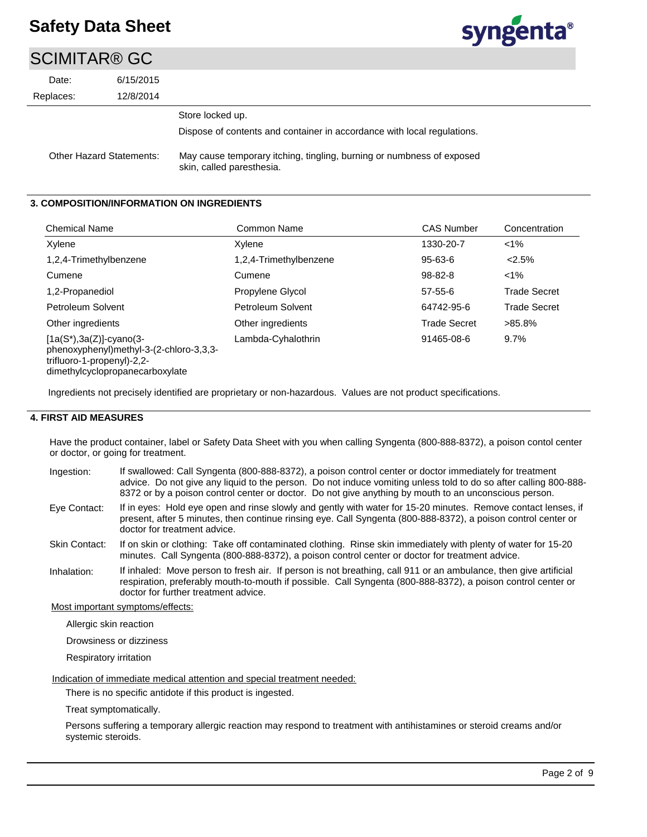## SCIMITAR® GC

| UUIIIIIIIIIII V |                                 |                                                                         |
|-----------------|---------------------------------|-------------------------------------------------------------------------|
| Date:           | 6/15/2015                       |                                                                         |
| Replaces:       | 12/8/2014                       |                                                                         |
|                 |                                 | Store locked up.                                                        |
|                 |                                 | Dispose of contents and container in accordance with local regulations. |
|                 | <b>Other Hazard Statements:</b> | May cause temporary itching, tingling, burning or numbness of exposed   |

#### **3. COMPOSITION/INFORMATION ON INGREDIENTS**

| <b>Chemical Name</b>                                                                                 | Common Name            | <b>CAS Number</b>   | Concentration       |
|------------------------------------------------------------------------------------------------------|------------------------|---------------------|---------------------|
| Xylene                                                                                               | Xylene                 | 1330-20-7           | $< 1\%$             |
| 1,2,4-Trimethylbenzene                                                                               | 1,2,4-Trimethylbenzene | $95 - 63 - 6$       | < 2.5%              |
| Cumene                                                                                               | Cumene                 | $98 - 82 - 8$       | $1\%$               |
| 1,2-Propanediol                                                                                      | Propylene Glycol       | $57 - 55 - 6$       | <b>Trade Secret</b> |
| Petroleum Solvent                                                                                    | Petroleum Solvent      | 64742-95-6          | <b>Trade Secret</b> |
| Other ingredients                                                                                    | Other ingredients      | <b>Trade Secret</b> | $>85.8\%$           |
| $[1a(S*), 3a(Z)]$ -cyano(3-<br>phenoxyphenyl)methyl-3-(2-chloro-3,3,3-<br>trifluoro-1-propenyl)-2,2- | Lambda-Cyhalothrin     | 91465-08-6          | 9.7%                |

dimethylcyclopropanecarboxylate

Ingredients not precisely identified are proprietary or non-hazardous. Values are not product specifications.

skin, called paresthesia.

#### **4. FIRST AID MEASURES**

Have the product container, label or Safety Data Sheet with you when calling Syngenta (800-888-8372), a poison contol center or doctor, or going for treatment.

- If swallowed: Call Syngenta (800-888-8372), a poison control center or doctor immediately for treatment advice. Do not give any liquid to the person. Do not induce vomiting unless told to do so after calling 800-888- 8372 or by a poison control center or doctor. Do not give anything by mouth to an unconscious person. Ingestion:
- If in eyes: Hold eye open and rinse slowly and gently with water for 15-20 minutes. Remove contact lenses, if present, after 5 minutes, then continue rinsing eye. Call Syngenta (800-888-8372), a poison control center or doctor for treatment advice. Eye Contact:
- If on skin or clothing: Take off contaminated clothing. Rinse skin immediately with plenty of water for 15-20 minutes. Call Syngenta (800-888-8372), a poison control center or doctor for treatment advice. Skin Contact:
- If inhaled: Move person to fresh air. If person is not breathing, call 911 or an ambulance, then give artificial respiration, preferably mouth-to-mouth if possible. Call Syngenta (800-888-8372), a poison control center or doctor for further treatment advice. Inhalation:

Most important symptoms/effects:

Allergic skin reaction

Drowsiness or dizziness

Respiratory irritation

Indication of immediate medical attention and special treatment needed:

There is no specific antidote if this product is ingested.

Treat symptomatically.

Persons suffering a temporary allergic reaction may respond to treatment with antihistamines or steroid creams and/or systemic steroids.

syngenta®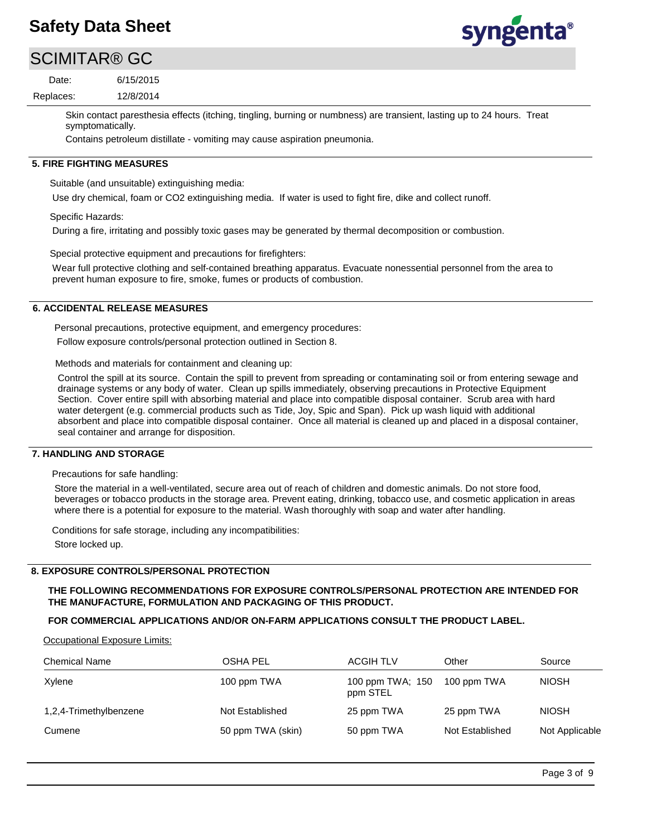# syngenta®

## SCIMITAR® GC

12/8/2014 6/15/2015 Replaces: Date:

> Skin contact paresthesia effects (itching, tingling, burning or numbness) are transient, lasting up to 24 hours. Treat symptomatically.

Contains petroleum distillate - vomiting may cause aspiration pneumonia.

#### **5. FIRE FIGHTING MEASURES**

Suitable (and unsuitable) extinguishing media:

Use dry chemical, foam or CO2 extinguishing media. If water is used to fight fire, dike and collect runoff.

Specific Hazards:

During a fire, irritating and possibly toxic gases may be generated by thermal decomposition or combustion.

Special protective equipment and precautions for firefighters:

Wear full protective clothing and self-contained breathing apparatus. Evacuate nonessential personnel from the area to prevent human exposure to fire, smoke, fumes or products of combustion.

#### **6. ACCIDENTAL RELEASE MEASURES**

Personal precautions, protective equipment, and emergency procedures: Follow exposure controls/personal protection outlined in Section 8.

Methods and materials for containment and cleaning up:

Control the spill at its source. Contain the spill to prevent from spreading or contaminating soil or from entering sewage and drainage systems or any body of water. Clean up spills immediately, observing precautions in Protective Equipment Section. Cover entire spill with absorbing material and place into compatible disposal container. Scrub area with hard water detergent (e.g. commercial products such as Tide, Joy, Spic and Span). Pick up wash liquid with additional absorbent and place into compatible disposal container. Once all material is cleaned up and placed in a disposal container, seal container and arrange for disposition.

#### **7. HANDLING AND STORAGE**

Precautions for safe handling:

Store the material in a well-ventilated, secure area out of reach of children and domestic animals. Do not store food, beverages or tobacco products in the storage area. Prevent eating, drinking, tobacco use, and cosmetic application in areas where there is a potential for exposure to the material. Wash thoroughly with soap and water after handling.

Conditions for safe storage, including any incompatibilities: Store locked up.

#### **8. EXPOSURE CONTROLS/PERSONAL PROTECTION**

**THE FOLLOWING RECOMMENDATIONS FOR EXPOSURE CONTROLS/PERSONAL PROTECTION ARE INTENDED FOR THE MANUFACTURE, FORMULATION AND PACKAGING OF THIS PRODUCT.** 

#### **FOR COMMERCIAL APPLICATIONS AND/OR ON-FARM APPLICATIONS CONSULT THE PRODUCT LABEL.**

Occupational Exposure Limits:

| <b>Chemical Name</b>   | OSHA PEL          | <b>ACGIH TLV</b>             | Other           | Source         |
|------------------------|-------------------|------------------------------|-----------------|----------------|
| Xylene                 | 100 ppm TWA       | 100 ppm TWA; 150<br>ppm STEL | 100 ppm TWA     | <b>NIOSH</b>   |
| 1,2,4-Trimethylbenzene | Not Established   | 25 ppm TWA                   | 25 ppm TWA      | <b>NIOSH</b>   |
| Cumene                 | 50 ppm TWA (skin) | 50 ppm TWA                   | Not Established | Not Applicable |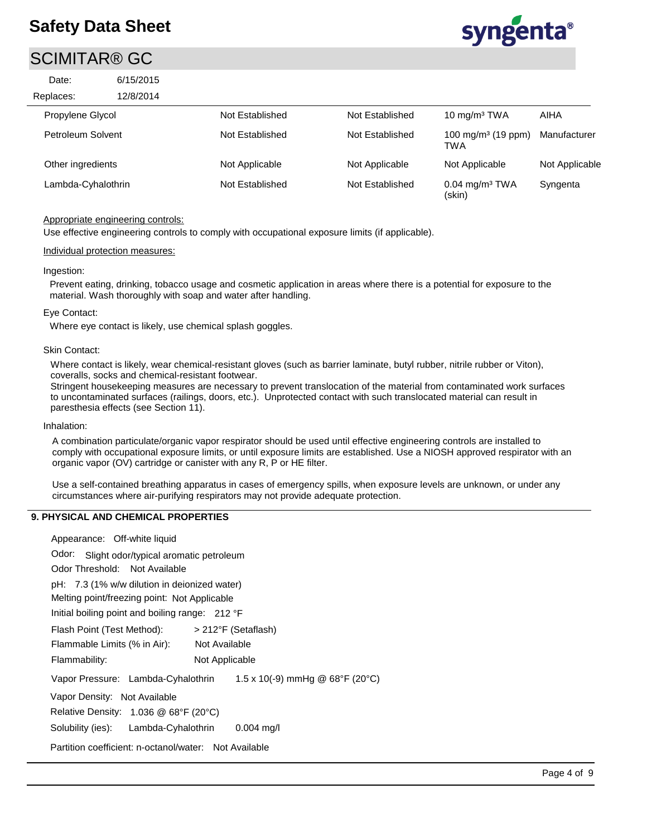### SCIMITAR® GC

| Date:              | 6/15/2015 |                 |                 |                                        |                |
|--------------------|-----------|-----------------|-----------------|----------------------------------------|----------------|
| Replaces:          | 12/8/2014 |                 |                 |                                        |                |
| Propylene Glycol   |           | Not Established | Not Established | 10 $mg/m3 TWA$                         | AIHA           |
| Petroleum Solvent  |           | Not Established | Not Established | 100 mg/m <sup>3</sup> (19 ppm)<br>TWA  | Manufacturer   |
| Other ingredients  |           | Not Applicable  | Not Applicable  | Not Applicable                         | Not Applicable |
| Lambda-Cyhalothrin |           | Not Established | Not Established | $0.04$ mg/m <sup>3</sup> TWA<br>(skin) | Syngenta       |

#### Appropriate engineering controls:

Use effective engineering controls to comply with occupational exposure limits (if applicable).

#### Individual protection measures:

#### Ingestion:

Prevent eating, drinking, tobacco usage and cosmetic application in areas where there is a potential for exposure to the material. Wash thoroughly with soap and water after handling.

#### Eye Contact:

Where eye contact is likely, use chemical splash goggles.

#### Skin Contact:

Where contact is likely, wear chemical-resistant gloves (such as barrier laminate, butyl rubber, nitrile rubber or Viton), coveralls, socks and chemical-resistant footwear.

Stringent housekeeping measures are necessary to prevent translocation of the material from contaminated work surfaces to uncontaminated surfaces (railings, doors, etc.). Unprotected contact with such translocated material can result in paresthesia effects (see Section 11).

#### Inhalation:

A combination particulate/organic vapor respirator should be used until effective engineering controls are installed to comply with occupational exposure limits, or until exposure limits are established. Use a NIOSH approved respirator with an organic vapor (OV) cartridge or canister with any R, P or HE filter.

Use a self-contained breathing apparatus in cases of emergency spills, when exposure levels are unknown, or under any circumstances where air-purifying respirators may not provide adequate protection.

#### **9. PHYSICAL AND CHEMICAL PROPERTIES**

| Appearance: Off-white liquid                                                              |
|-------------------------------------------------------------------------------------------|
| Odor: Slight odor/typical aromatic petroleum                                              |
| Odor Threshold: Not Available                                                             |
| pH: 7.3 (1% w/w dilution in deionized water)                                              |
| Melting point/freezing point: Not Applicable                                              |
| Initial boiling point and boiling range: 212 °F                                           |
| Flash Point (Test Method):<br>> 212°F (Setaflash)                                         |
| Flammable Limits (% in Air):<br>Not Available                                             |
| Flammability:<br>Not Applicable                                                           |
| 1.5 x 10(-9) mmHg @ $68^{\circ}F$ (20 $^{\circ}C$ )<br>Vapor Pressure: Lambda-Cyhalothrin |
| Vapor Density: Not Available                                                              |
| Relative Density: 1.036 @ 68°F (20°C)                                                     |
| Solubility (ies): Lambda-Cyhalothrin<br>$0.004$ mg/l                                      |
| Partition coefficient: n-octanol/water: Not Available                                     |
|                                                                                           |

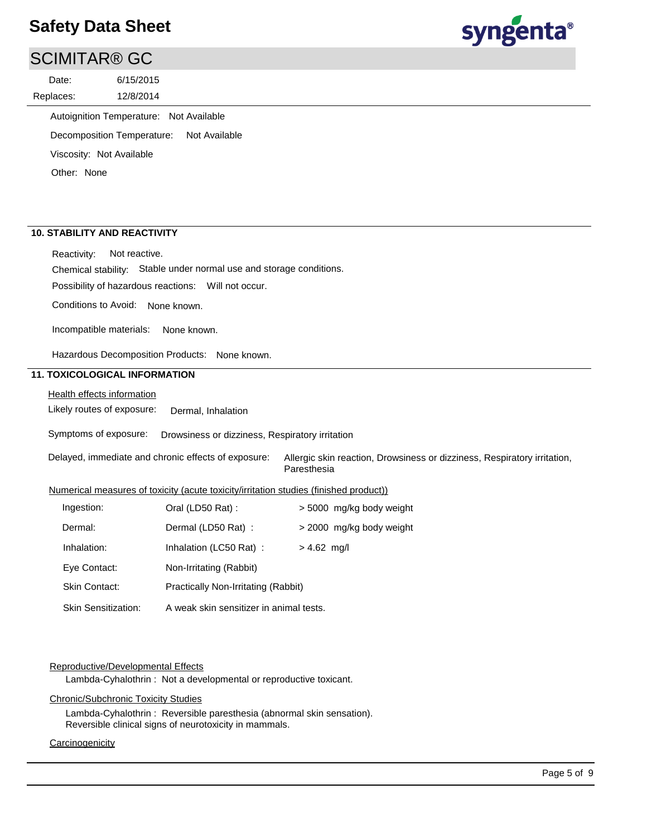### SCIMITAR® GC

12/8/2014 6/15/2015 Replaces: Date:



Autoignition Temperature: Not Available

Decomposition Temperature: Not Available

Viscosity: Not Available

Other: None

#### **10. STABILITY AND REACTIVITY**

Reactivity: Not reactive.

Chemical stability: Stable under normal use and storage conditions.

Possibility of hazardous reactions: Will not occur.

Conditions to Avoid: None known.

Incompatible materials: None known.

Hazardous Decomposition Products: None known.

#### **11. TOXICOLOGICAL INFORMATION**

Health effects information

Likely routes of exposure: Dermal, Inhalation

Symptoms of exposure: Drowsiness or dizziness, Respiratory irritation

Delayed, immediate and chronic effects of exposure: Allergic skin reaction, Drowsiness or dizziness, Respiratory irritation, Paresthesia

#### Numerical measures of toxicity (acute toxicity/irritation studies (finished product))

| Ingestion:                 | Oral (LD50 Rat):                        | > 5000 mg/kg body weight |
|----------------------------|-----------------------------------------|--------------------------|
| Dermal:                    | Dermal (LD50 Rat):                      | > 2000 mg/kg body weight |
| Inhalation:                | Inhalation (LC50 Rat):                  | $> 4.62$ mg/l            |
| Eye Contact:               | Non-Irritating (Rabbit)                 |                          |
| <b>Skin Contact:</b>       | Practically Non-Irritating (Rabbit)     |                          |
| <b>Skin Sensitization:</b> | A weak skin sensitizer in animal tests. |                          |

#### Reproductive/Developmental Effects

Lambda-Cyhalothrin : Not a developmental or reproductive toxicant.

#### Chronic/Subchronic Toxicity Studies

Lambda-Cyhalothrin : Reversible paresthesia (abnormal skin sensation). Reversible clinical signs of neurotoxicity in mammals.

#### **Carcinogenicity**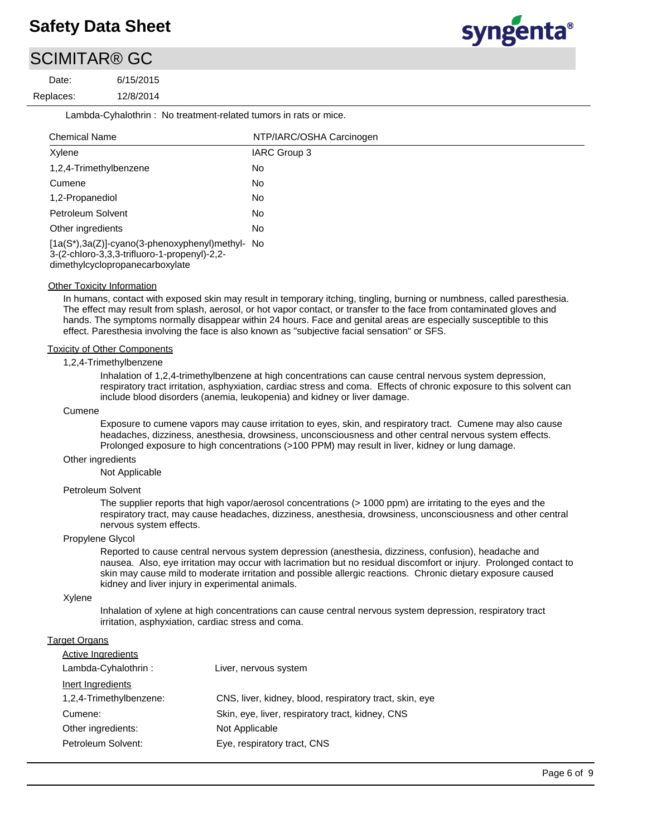## SCIMITAR® GC

12/8/2014 6/15/2015 Replaces:<br>———————————————————— Date:



Lambda-Cyhalothrin : No treatment-related tumors in rats or mice.

| <b>Chemical Name</b>                                                                                                               | NTP/IARC/OSHA Carcinogen |
|------------------------------------------------------------------------------------------------------------------------------------|--------------------------|
| Xylene                                                                                                                             | IARC Group 3             |
| 1,2,4-Trimethylbenzene                                                                                                             | No                       |
| Cumene                                                                                                                             | No                       |
| 1,2-Propanediol                                                                                                                    | No                       |
| Petroleum Solvent                                                                                                                  | No                       |
| Other ingredients                                                                                                                  | No                       |
| [1a(S*),3a(Z)]-cyano(3-phenoxyphenyl)methyl- No<br>3-(2-chloro-3,3,3-trifluoro-1-propenyl)-2,2-<br>dimethylcyclopropanecarboxylate |                          |

**Other Toxicity Information** 

In humans, contact with exposed skin may result in temporary itching, tingling, burning or numbness, called paresthesia. The effect may result from splash, aerosol, or hot vapor contact, or transfer to the face from contaminated gloves and hands. The symptoms normally disappear within 24 hours. Face and genital areas are especially susceptible to this effect. Paresthesia involving the face is also known as "subjective facial sensation" or SFS.

#### Toxicity of Other Components

#### 1,2,4-Trimethylbenzene

Inhalation of 1,2,4-trimethylbenzene at high concentrations can cause central nervous system depression, respiratory tract irritation, asphyxiation, cardiac stress and coma. Effects of chronic exposure to this solvent can include blood disorders (anemia, leukopenia) and kidney or liver damage.

#### **Cumene**

Exposure to cumene vapors may cause irritation to eyes, skin, and respiratory tract. Cumene may also cause headaches, dizziness, anesthesia, drowsiness, unconsciousness and other central nervous system effects. Prolonged exposure to high concentrations (>100 PPM) may result in liver, kidney or lung damage.

#### Other ingredients

Not Applicable

#### Petroleum Solvent

The supplier reports that high vapor/aerosol concentrations (> 1000 ppm) are irritating to the eyes and the respiratory tract, may cause headaches, dizziness, anesthesia, drowsiness, unconsciousness and other central nervous system effects.

#### Propylene Glycol

Reported to cause central nervous system depression (anesthesia, dizziness, confusion), headache and nausea. Also, eye irritation may occur with lacrimation but no residual discomfort or injury. Prolonged contact to skin may cause mild to moderate irritation and possible allergic reactions. Chronic dietary exposure caused kidney and liver injury in experimental animals.

#### Xylene

Inhalation of xylene at high concentrations can cause central nervous system depression, respiratory tract irritation, asphyxiation, cardiac stress and coma.

#### **Target Organs**

| <b>Active Ingredients</b> |                                                         |
|---------------------------|---------------------------------------------------------|
| Lambda-Cyhalothrin:       | Liver, nervous system                                   |
| Inert Ingredients         |                                                         |
| 1,2,4-Trimethylbenzene:   | CNS, liver, kidney, blood, respiratory tract, skin, eye |
| Cumene:                   | Skin, eye, liver, respiratory tract, kidney, CNS        |
| Other ingredients:        | Not Applicable                                          |
| Petroleum Solvent:        | Eye, respiratory tract, CNS                             |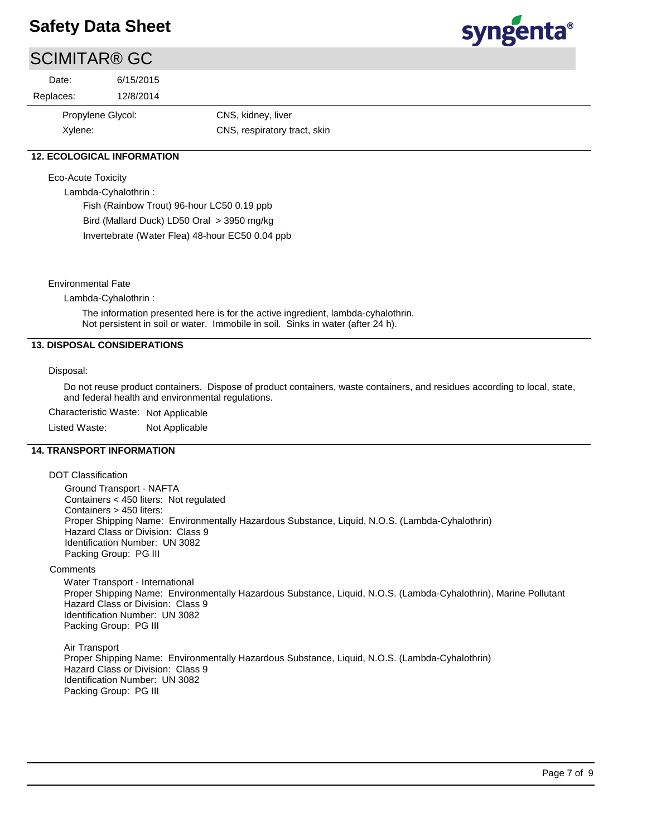# syngenta®

## SCIMITAR® GC

| Date:     | 6/15/2015         |                              |
|-----------|-------------------|------------------------------|
| Replaces: | 12/8/2014         |                              |
|           | Propylene Glycol: | CNS, kidney, liver           |
| Xylene:   |                   | CNS, respiratory tract, skin |

#### **12. ECOLOGICAL INFORMATION**

Eco-Acute Toxicity

Lambda-Cyhalothrin :

Fish (Rainbow Trout) 96-hour LC50 0.19 ppb

Bird (Mallard Duck) LD50 Oral > 3950 mg/kg

Invertebrate (Water Flea) 48-hour EC50 0.04 ppb

Environmental Fate

Lambda-Cyhalothrin :

The information presented here is for the active ingredient, lambda-cyhalothrin. Not persistent in soil or water. Immobile in soil. Sinks in water (after 24 h).

#### **13. DISPOSAL CONSIDERATIONS**

Disposal:

Do not reuse product containers. Dispose of product containers, waste containers, and residues according to local, state, and federal health and environmental regulations.

Characteristic Waste: Not Applicable

Listed Waste: Not Applicable

#### **14. TRANSPORT INFORMATION**

DOT Classification

Ground Transport - NAFTA Containers < 450 liters: Not regulated Containers > 450 liters: Proper Shipping Name: Environmentally Hazardous Substance, Liquid, N.O.S. (Lambda-Cyhalothrin) Hazard Class or Division: Class 9 Identification Number: UN 3082 Packing Group: PG III

#### **Comments**

Water Transport - International Proper Shipping Name: Environmentally Hazardous Substance, Liquid, N.O.S. (Lambda-Cyhalothrin), Marine Pollutant Hazard Class or Division: Class 9 Identification Number: UN 3082 Packing Group: PG III

Air Transport Proper Shipping Name: Environmentally Hazardous Substance, Liquid, N.O.S. (Lambda-Cyhalothrin) Hazard Class or Division: Class 9 Identification Number: UN 3082 Packing Group: PG III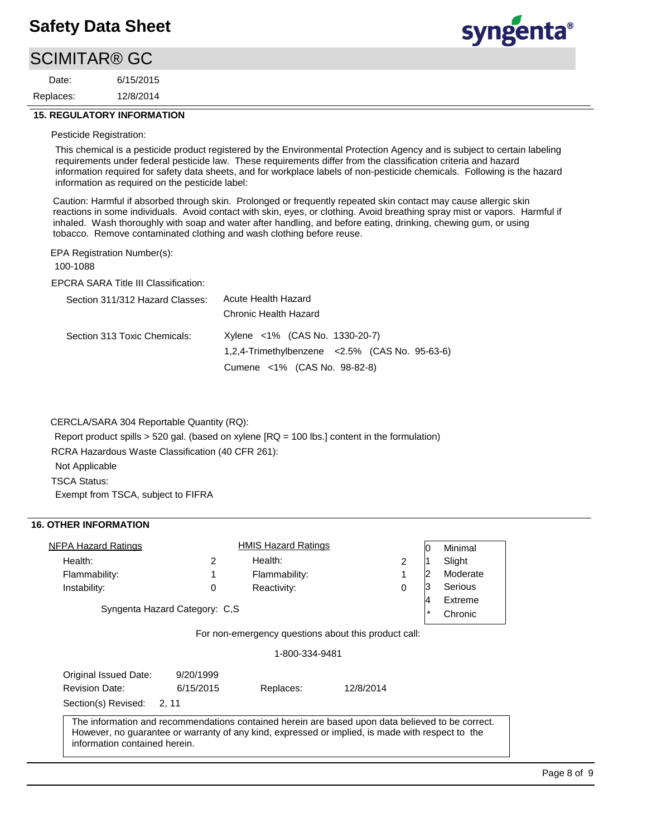## SCIMITAR® GC

12/8/2014 6/15/2015 Replaces: Date:



#### **15. REGULATORY INFORMATION**

#### Pesticide Registration:

This chemical is a pesticide product registered by the Environmental Protection Agency and is subject to certain labeling requirements under federal pesticide law. These requirements differ from the classification criteria and hazard information required for safety data sheets, and for workplace labels of non-pesticide chemicals. Following is the hazard information as required on the pesticide label:

Caution: Harmful if absorbed through skin. Prolonged or frequently repeated skin contact may cause allergic skin reactions in some individuals. Avoid contact with skin, eyes, or clothing. Avoid breathing spray mist or vapors. Harmful if inhaled. Wash thoroughly with soap and water after handling, and before eating, drinking, chewing gum, or using tobacco. Remove contaminated clothing and wash clothing before reuse.

EPA Registration Number(s):

100-1088

EPCRA SARA Title III Classification:

| Section 311/312 Hazard Classes: | Acute Health Hazard                                   |  |  |  |
|---------------------------------|-------------------------------------------------------|--|--|--|
|                                 | Chronic Health Hazard                                 |  |  |  |
| Section 313 Toxic Chemicals:    | Xylene <1% (CAS No. 1330-20-7)                        |  |  |  |
|                                 | $1,2,4$ -Trimethylbenzene < $2.5\%$ (CAS No. 95-63-6) |  |  |  |
|                                 | Cumene <1% (CAS No. 98-82-8)                          |  |  |  |

CERCLA/SARA 304 Reportable Quantity (RQ):

Report product spills > 520 gal. (based on xylene [RQ = 100 lbs.] content in the formulation)

RCRA Hazardous Waste Classification (40 CFR 261):

Not Applicable

TSCA Status:

Exempt from TSCA, subject to FIFRA

#### **16. OTHER INFORMATION**

| NFPA Hazard Ratings                                                                              |               | <b>HMIS Hazard Ratings</b> |                | 0       | Minimal  |
|--------------------------------------------------------------------------------------------------|---------------|----------------------------|----------------|---------|----------|
| Health:                                                                                          | $\mathcal{P}$ | Health:                    | $\overline{2}$ |         | Slight   |
| Flammability:                                                                                    |               | Flammability:              | 1              | 2       | Moderate |
| Instability:                                                                                     | 0             | Reactivity:                | $\mathbf 0$    | 3       | Serious  |
|                                                                                                  |               |                            |                | 4       | Extreme  |
| Syngenta Hazard Category: C,S                                                                    |               |                            |                | $\star$ | Chronic  |
|                                                                                                  |               | 1-800-334-9481             |                |         |          |
|                                                                                                  |               |                            |                |         |          |
| Original Issued Date:                                                                            | 9/20/1999     |                            |                |         |          |
| <b>Revision Date:</b>                                                                            | 6/15/2015     | Replaces:                  | 12/8/2014      |         |          |
| Section(s) Revised: 2, 11                                                                        |               |                            |                |         |          |
| The information and recommendations contained herein are based upon data believed to be correct. |               |                            |                |         |          |
| However, no guarantee or warranty of any kind, expressed or implied, is made with respect to the |               |                            |                |         |          |
| information contained herein.                                                                    |               |                            |                |         |          |